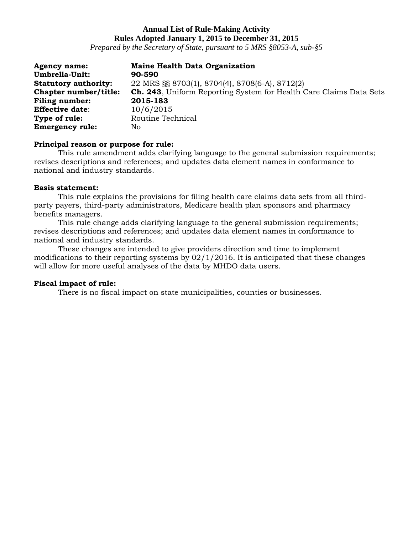# **Annual List of Rule-Making Activity Rules Adopted January 1, 2015 to December 31, 2015**

*Prepared by the Secretary of State, pursuant to 5 MRS §8053-A, sub-§5*

| <b>Agency name:</b>         | <b>Maine Health Data Organization</b>                                      |
|-----------------------------|----------------------------------------------------------------------------|
| Umbrella-Unit:              | 90-590                                                                     |
| <b>Statutory authority:</b> | 22 MRS §§ 8703(1), 8704(4), 8708(6-A), 8712(2)                             |
| Chapter number/title:       | <b>Ch. 243</b> , Uniform Reporting System for Health Care Claims Data Sets |
| <b>Filing number:</b>       | 2015-183                                                                   |
| <b>Effective date:</b>      | 10/6/2015                                                                  |
| Type of rule:               | Routine Technical                                                          |
| <b>Emergency rule:</b>      | No                                                                         |

### **Principal reason or purpose for rule:**

This rule amendment adds clarifying language to the general submission requirements; revises descriptions and references; and updates data element names in conformance to national and industry standards.

### **Basis statement:**

This rule explains the provisions for filing health care claims data sets from all thirdparty payers, third-party administrators, Medicare health plan sponsors and pharmacy benefits managers.

This rule change adds clarifying language to the general submission requirements; revises descriptions and references; and updates data element names in conformance to national and industry standards.

These changes are intended to give providers direction and time to implement modifications to their reporting systems by 02/1/2016. It is anticipated that these changes will allow for more useful analyses of the data by MHDO data users.

### **Fiscal impact of rule:**

There is no fiscal impact on state municipalities, counties or businesses.